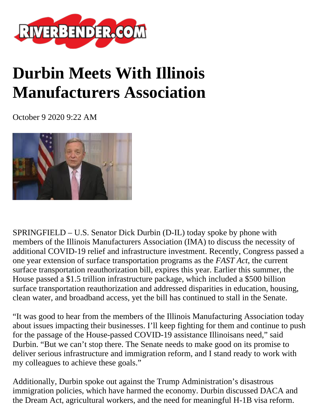

## **Durbin Meets With Illinois Manufacturers Association**

October 9 2020 9:22 AM



SPRINGFIELD – U.S. Senator Dick Durbin (D-IL) today spoke by phone with members of the Illinois Manufacturers Association (IMA) to discuss the necessity of additional COVID-19 relief and infrastructure investment. Recently, Congress passed a one year extension of surface transportation programs as the *FAST Act*, the current surface transportation reauthorization bill, expires this year. Earlier this summer, the House passed a \$1.5 trillion infrastructure package, which included a \$500 billion surface transportation reauthorization and addressed disparities in education, housing, clean water, and broadband access, yet the bill has continued to stall in the Senate.

"It was good to hear from the members of the Illinois Manufacturing Association today about issues impacting their businesses. I'll keep fighting for them and continue to push for the passage of the House-passed COVID-19 assistance Illinoisans need," said Durbin. "But we can't stop there. The Senate needs to make good on its promise to deliver serious infrastructure and immigration reform, and I stand ready to work with my colleagues to achieve these goals."

Additionally, Durbin spoke out against the Trump Administration's disastrous immigration policies, which have harmed the economy. Durbin discussed DACA and the Dream Act, agricultural workers, and the need for meaningful H-1B visa reform.